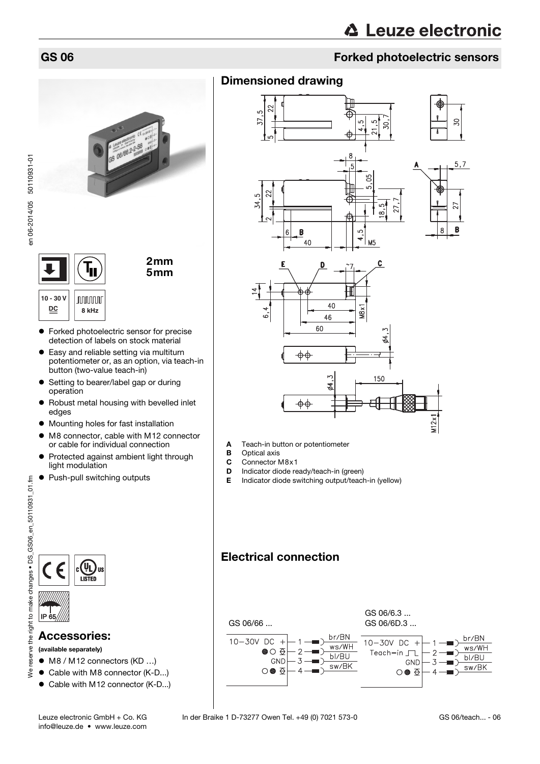### GS 06 Forked photoelectric sensors

### Dimensioned drawing



- **A** Teach-in button or potentiometer<br>**B** Optical axis
- **B** Optical axis<br>**C** Connector
- Connector M8x1
- **D** Indicator diode ready/teach-in (green)<br>**E** Indicator diode switching output/teach
	- Indicator diode switching output/teach-in (yellow)





en 06-2014/05 50110931-01

en 06-2014/05 50110931-01



2mm 5mm

**10 - 30 V JUUUUUU DC 8 kHz**

- **•** Forked photoelectric sensor for precise detection of labels on stock material
- Easy and reliable setting via multiturn potentiometer or, as an option, via teach-in button (two-value teach-in)
- **•** Setting to bearer/label gap or during operation
- Robust metal housing with bevelled inlet edges
- $\bullet$  Mounting holes for fast installation
- M8 connector, cable with M12 connector or cable for individual connection
- Protected against ambient light through light modulation
- Push-pull switching outputs

IP 65



### Accessories:

### (available separately)

- M8 / M12 connectors (KD ...)
- Cable with M8 connector (K-D...)
- Cable with M12 connector (K-D...)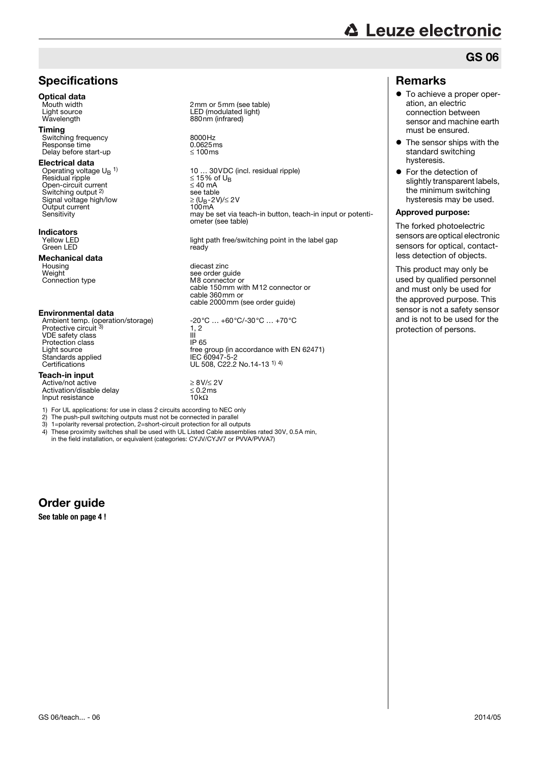### **Specifications**

## **Optical data**<br>Mouth width

Timing Switching frequency 8000Hz Response time  $0.0625$ m<br>Delay before start-up  $\leq 100$ ms Delay before start-up

#### Electrical data

Operating voltage U<sub>B</sub> <sup>1)</sup>  $\le$  10 ... 30VDC<br>Residual ripple  $\le$  15% of U<sub>B</sub> Open-circuit current ≤ 40 mA Switching output 2) Signal voltage high/low Output current<br>Sensitivity

#### Indicators

Yellow LED<br>Green LED

**Mechanical data**<br>Housing<br>Weight Weight see order guide<br>
Connection type M8 connector of

#### Environmental data

Ambient temp. (operation/storage) -20°C … +60°C/-30°C … +70°C<br>Protective circuit <sup>3)</sup> 1, 2 VDE safety class III<br>Protection class IP 65 Protection class<br>Light source

#### Teach-in input

Active/not active ≥ 8V/≤ 2V Activation/disable delay ≤ 0.2ms  $\frac{1}{2}$  of the input resistance 10kΩ

1) For UL applications: for use in class 2 circuits according to NEC only

- 2) The push-pull switching outputs must not be connected in parallel<br>3)  $1 =$ polarity reversal protection, 2=short-circuit protection for all output
- 3) 1=polarity reversal protection, 2=short-circuit protection for all outputs 4) These proximity switches shall be used with UL Listed Cable assemblies 4) These proximity switches shall be used with UL Listed Cable assemblies rated 30V, 0.5A min, in the field installation, or equivalent (categories: CYJV/CYJV7 or PVVA/PVVA7)

Order guide

**See table on [page 4](#page-3-0) !**

Mouth width  $\begin{array}{ccc}\n\text{Mouth width} \\
\text{Light source} \\
\end{array}$ Light source LED (modulated light)<br>
Wavelength Maxemus 280nm (infrared) 880nm (infrared)

10 ... 30 VDC (incl. residual ripple)<br> $\leq$  15% of U<sub>B</sub> see table<br> $\geq$  (U<sub>B</sub>-2V)/ $\leq$  2V<br>100mA may be set via teach-in button, teach-in input or potentiometer (see table)

light path free/switching point in the label gap ready

diecast zinc M8 connector or cable 150mm with M12 connector or cable 360mm or cable 2000mm (see order guide)

 $\frac{1}{11}$ , 2 Light source free group (in accordance with EN 62471)<br>Standards applied from the HEC 60947-5-2 Standards applied IEC 60947-5-2 Certifications UL 508, C22.2 No.14-13 1) 4)

# **△ Leuze electronic**

### GS 06

### Remarks

- $\bullet$  To achieve a proper operation, an electric connection between sensor and machine earth must be ensured.
- The sensor ships with the standard switching hysteresis.
- **•** For the detection of slightly transparent labels, the minimum switching hysteresis may be used.

#### Approved purpose:

The forked photoelectric sensors are optical electronic sensors for optical, contactless detection of objects.

This product may only be used by qualified personnel and must only be used for the approved purpose. This sensor is not a safety sensor and is not to be used for the protection of persons.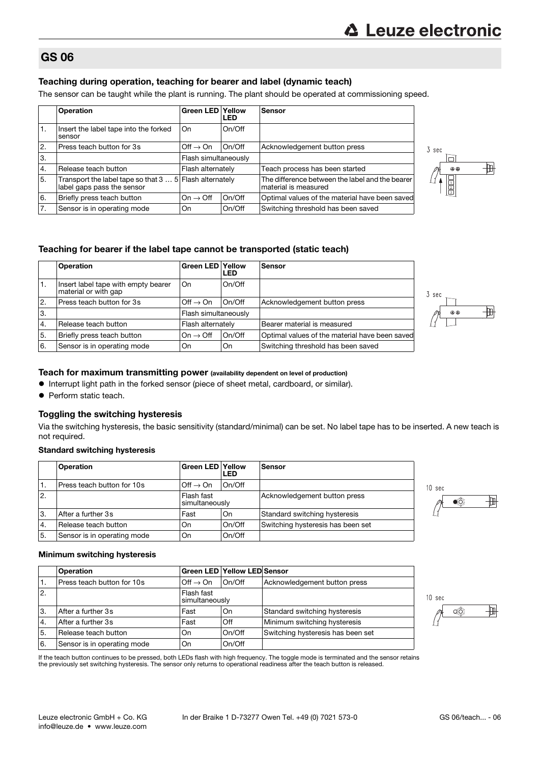3 sec

ħ

@ @

刪

### GS 06

### Teaching during operation, teaching for bearer and label (dynamic teach)

The sensor can be taught while the plant is running. The plant should be operated at commissioning speed.

|    | <b>Operation</b>                                                                      | <b>Green LED Yellow</b>        | LED    | Sensor                                                                  |  |  |  |  |  |  |  |
|----|---------------------------------------------------------------------------------------|--------------------------------|--------|-------------------------------------------------------------------------|--|--|--|--|--|--|--|
| 1. | Insert the label tape into the forked<br>sensor                                       | On                             | On/Off |                                                                         |  |  |  |  |  |  |  |
| 2. | Press teach button for 3s                                                             | $\mathsf{Off} \to \mathsf{On}$ | On/Off | Acknowledgement button press                                            |  |  |  |  |  |  |  |
| 3. |                                                                                       | Flash simultaneously           |        |                                                                         |  |  |  |  |  |  |  |
| 4. | Release teach button                                                                  | Flash alternately              |        | Teach process has been started                                          |  |  |  |  |  |  |  |
| 5. | Transport the label tape so that 3  5 Flash alternately<br>label gaps pass the sensor |                                |        | The difference between the label and the bearer<br>material is measured |  |  |  |  |  |  |  |
| 6. | Briefly press teach button                                                            | $On \rightarrow \text{Off}$    | On/Off | Optimal values of the material have been saved                          |  |  |  |  |  |  |  |
| 7. | Sensor is in operating mode                                                           | On                             | On/Off | Switching threshold has been saved                                      |  |  |  |  |  |  |  |

### Teaching for bearer if the label tape cannot be transported (static teach)

|                  | <b>Operation</b>                                            | <b>Green LED Yellow</b> | <b>LED</b> | <b>Sensor</b>                                  |  |  |  |  |  |
|------------------|-------------------------------------------------------------|-------------------------|------------|------------------------------------------------|--|--|--|--|--|
| 1.               | Insert label tape with empty bearer<br>material or with gap | On.                     | On/Off     |                                                |  |  |  |  |  |
| 2.               | Press teach button for 3s                                   | $Off \rightarrow On$    | On/Off     | Acknowledgement button press                   |  |  |  |  |  |
| 3.               |                                                             | Flash simultaneously    |            |                                                |  |  |  |  |  |
| $\overline{4}$ . | Release teach button                                        | Flash alternately       |            | Bearer material is measured                    |  |  |  |  |  |
| 5.               | Briefly press teach button                                  | $On \rightarrow Off$    | On/Off     | Optimal values of the material have been saved |  |  |  |  |  |
| '6.              | Sensor is in operating mode                                 | On                      | On         | Switching threshold has been saved             |  |  |  |  |  |



- $\bullet$  Interrupt light path in the forked sensor (piece of sheet metal, cardboard, or similar).
- Perform static teach.

### Toggling the switching hysteresis

Via the switching hysteresis, the basic sensitivity (standard/minimal) can be set. No label tape has to be inserted. A new teach is not required.

#### Standard switching hysteresis

|     | <b>Operation</b>            | <b>Green LED Yellow</b><br>LED |        | <b>Sensor</b>                     |
|-----|-----------------------------|--------------------------------|--------|-----------------------------------|
|     | Press teach button for 10s  | $Off \rightarrow On$           | On/Off |                                   |
| 12. |                             | Flash fast<br>simultaneously   |        | Acknowledgement button press      |
| ΙЗ. | After a further 3s          | Fast                           | On     | Standard switching hysteresis     |
| '4. | Release teach button        | On                             | On/Off | Switching hysteresis has been set |
| 5.  | Sensor is in operating mode | On                             | On/Off |                                   |



### Minimum switching hysteresis

|                | <b>Operation</b>            |                              | <b>Green LED Yellow LED Sensor</b> |                                   |
|----------------|-----------------------------|------------------------------|------------------------------------|-----------------------------------|
| Ι.             | Press teach button for 10s  | $Off \rightarrow On$         | On/Off                             | Acknowledgement button press      |
| $\mathbf{2}$ . |                             | Flash fast<br>simultaneously |                                    |                                   |
| 3.             | After a further 3s          | Fast                         | On                                 | Standard switching hysteresis     |
| 4.             | After a further 3s          | Fast                         | Off                                | Minimum switching hysteresis      |
| 5.             | Release teach button        | <b>On</b>                    | On/Off                             | Switching hysteresis has been set |
| 16.            | Sensor is in operating mode | On                           | On/Off                             |                                   |

If the teach button continues to be pressed, both LEDs flash with high frequency. The toggle mode is terminated and the sensor retains<br>the previously set switching hysteresis. The sensor only returns to operational readine